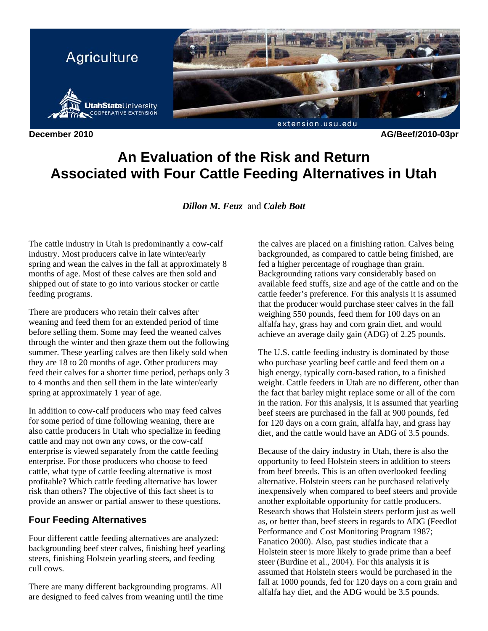

**December 2010 AG/Beef/2010-03pr** 

# **An Evaluation of the Risk and Return Associated with Four Cattle Feeding Alternatives in Utah**

*Dillon M. Feuz* and *Caleb Bott* 

The cattle industry in Utah is predominantly a cow-calf industry. Most producers calve in late winter/early spring and wean the calves in the fall at approximately 8 months of age. Most of these calves are then sold and shipped out of state to go into various stocker or cattle feeding programs.

There are producers who retain their calves after weaning and feed them for an extended period of time before selling them. Some may feed the weaned calves through the winter and then graze them out the following summer. These yearling calves are then likely sold when they are 18 to 20 months of age. Other producers may feed their calves for a shorter time period, perhaps only 3 to 4 months and then sell them in the late winter/early spring at approximately 1 year of age.

In addition to cow-calf producers who may feed calves for some period of time following weaning, there are also cattle producers in Utah who specialize in feeding cattle and may not own any cows, or the cow-calf enterprise is viewed separately from the cattle feeding enterprise. For those producers who choose to feed cattle, what type of cattle feeding alternative is most profitable? Which cattle feeding alternative has lower risk than others? The objective of this fact sheet is to provide an answer or partial answer to these questions.

## **Four Feeding Alternatives**

Four different cattle feeding alternatives are analyzed: backgrounding beef steer calves, finishing beef yearling steers, finishing Holstein yearling steers, and feeding cull cows.

There are many different backgrounding programs. All are designed to feed calves from weaning until the time

the calves are placed on a finishing ration. Calves being backgrounded, as compared to cattle being finished, are fed a higher percentage of roughage than grain. Backgrounding rations vary considerably based on available feed stuffs, size and age of the cattle and on the cattle feeder's preference. For this analysis it is assumed that the producer would purchase steer calves in the fall weighing 550 pounds, feed them for 100 days on an alfalfa hay, grass hay and corn grain diet, and would achieve an average daily gain (ADG) of 2.25 pounds.

The U.S. cattle feeding industry is dominated by those who purchase yearling beef cattle and feed them on a high energy, typically corn-based ration, to a finished weight. Cattle feeders in Utah are no different, other than the fact that barley might replace some or all of the corn in the ration. For this analysis, it is assumed that yearling beef steers are purchased in the fall at 900 pounds, fed for 120 days on a corn grain, alfalfa hay, and grass hay diet, and the cattle would have an ADG of 3.5 pounds.

Because of the dairy industry in Utah, there is also the opportunity to feed Holstein steers in addition to steers from beef breeds. This is an often overlooked feeding alternative. Holstein steers can be purchased relatively inexpensively when compared to beef steers and provide another exploitable opportunity for cattle producers. Research shows that Holstein steers perform just as well as, or better than, beef steers in regards to ADG (Feedlot Performance and Cost Monitoring Program 1987; Fanatico 2000). Also, past studies indicate that a Holstein steer is more likely to grade prime than a beef steer (Burdine et al., 2004). For this analysis it is assumed that Holstein steers would be purchased in the fall at 1000 pounds, fed for 120 days on a corn grain and alfalfa hay diet, and the ADG would be 3.5 pounds.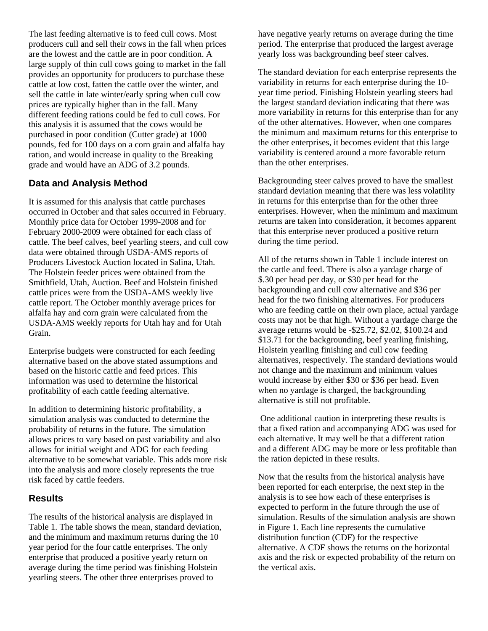The last feeding alternative is to feed cull cows. Most producers cull and sell their cows in the fall when prices are the lowest and the cattle are in poor condition. A large supply of thin cull cows going to market in the fall provides an opportunity for producers to purchase these cattle at low cost, fatten the cattle over the winter, and sell the cattle in late winter/early spring when cull cow prices are typically higher than in the fall. Many different feeding rations could be fed to cull cows. For this analysis it is assumed that the cows would be purchased in poor condition (Cutter grade) at 1000 pounds, fed for 100 days on a corn grain and alfalfa hay ration, and would increase in quality to the Breaking grade and would have an ADG of 3.2 pounds.

## **Data and Analysis Method**

It is assumed for this analysis that cattle purchases occurred in October and that sales occurred in February. Monthly price data for October 1999-2008 and for February 2000-2009 were obtained for each class of cattle. The beef calves, beef yearling steers, and cull cow data were obtained through USDA-AMS reports of Producers Livestock Auction located in Salina, Utah. The Holstein feeder prices were obtained from the Smithfield, Utah, Auction. Beef and Holstein finished cattle prices were from the USDA-AMS weekly live cattle report. The October monthly average prices for alfalfa hay and corn grain were calculated from the USDA-AMS weekly reports for Utah hay and for Utah Grain.

Enterprise budgets were constructed for each feeding alternative based on the above stated assumptions and based on the historic cattle and feed prices. This information was used to determine the historical profitability of each cattle feeding alternative.

In addition to determining historic profitability, a simulation analysis was conducted to determine the probability of returns in the future. The simulation allows prices to vary based on past variability and also allows for initial weight and ADG for each feeding alternative to be somewhat variable. This adds more risk into the analysis and more closely represents the true risk faced by cattle feeders.

#### **Results**

The results of the historical analysis are displayed in Table 1. The table shows the mean, standard deviation, and the minimum and maximum returns during the 10 year period for the four cattle enterprises. The only enterprise that produced a positive yearly return on average during the time period was finishing Holstein yearling steers. The other three enterprises proved to

have negative yearly returns on average during the time period. The enterprise that produced the largest average yearly loss was backgrounding beef steer calves.

The standard deviation for each enterprise represents the variability in returns for each enterprise during the 10 year time period. Finishing Holstein yearling steers had the largest standard deviation indicating that there was more variability in returns for this enterprise than for any of the other alternatives. However, when one compares the minimum and maximum returns for this enterprise to the other enterprises, it becomes evident that this large variability is centered around a more favorable return than the other enterprises.

Backgrounding steer calves proved to have the smallest standard deviation meaning that there was less volatility in returns for this enterprise than for the other three enterprises. However, when the minimum and maximum returns are taken into consideration, it becomes apparent that this enterprise never produced a positive return during the time period.

All of the returns shown in Table 1 include interest on the cattle and feed. There is also a yardage charge of \$.30 per head per day, or \$30 per head for the backgrounding and cull cow alternative and \$36 per head for the two finishing alternatives. For producers who are feeding cattle on their own place, actual yardage costs may not be that high. Without a yardage charge the average returns would be -\$25.72, \$2.02, \$100.24 and \$13.71 for the backgrounding, beef yearling finishing, Holstein yearling finishing and cull cow feeding alternatives, respectively. The standard deviations would not change and the maximum and minimum values would increase by either \$30 or \$36 per head. Even when no yardage is charged, the backgrounding alternative is still not profitable.

 One additional caution in interpreting these results is that a fixed ration and accompanying ADG was used for each alternative. It may well be that a different ration and a different ADG may be more or less profitable than the ration depicted in these results.

Now that the results from the historical analysis have been reported for each enterprise, the next step in the analysis is to see how each of these enterprises is expected to perform in the future through the use of simulation. Results of the simulation analysis are shown in Figure 1. Each line represents the cumulative distribution function (CDF) for the respective alternative. A CDF shows the returns on the horizontal axis and the risk or expected probability of the return on the vertical axis.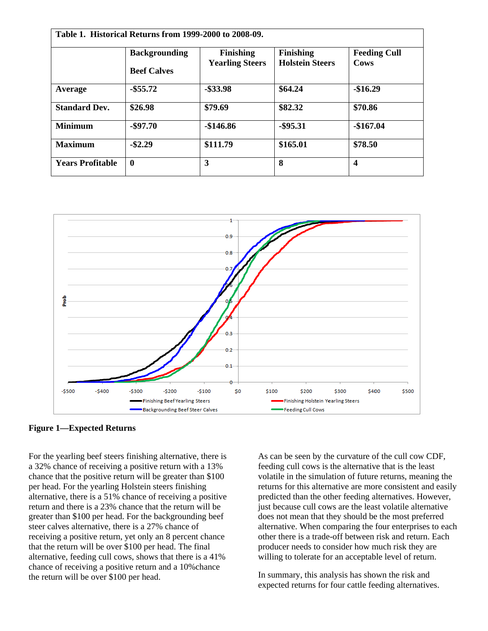|                         | <b>Backgrounding</b><br><b>Beef Calves</b> | <b>Finishing</b><br><b>Yearling Steers</b> | <b>Finishing</b><br><b>Holstein Steers</b> | <b>Feeding Cull</b><br>Cows |
|-------------------------|--------------------------------------------|--------------------------------------------|--------------------------------------------|-----------------------------|
| Average                 | $-$ \$55.72                                | $-$ \$33.98                                | \$64.24                                    | $-$16.29$                   |
| <b>Standard Dev.</b>    | \$26.98                                    | \$79.69                                    | \$82.32                                    | \$70.86                     |
| <b>Minimum</b>          | $-$ \$97.70                                | $-\$146.86$                                | $-$ \$95.31                                | $-$167.04$                  |
| <b>Maximum</b>          | $-$ \$2.29                                 | \$111.79                                   | \$165.01                                   | \$78.50                     |
| <b>Years Profitable</b> | $\bf{0}$                                   | 3                                          | 8                                          | 4                           |



**Figure 1—Expected Returns**

For the yearling beef steers finishing alternative, there is a 32% chance of receiving a positive return with a 13% chance that the positive return will be greater than \$100 per head. For the yearling Holstein steers finishing alternative, there is a 51% chance of receiving a positive return and there is a 23% chance that the return will be greater than \$100 per head. For the backgrounding beef steer calves alternative, there is a 27% chance of receiving a positive return, yet only an 8 percent chance that the return will be over \$100 per head. The final alternative, feeding cull cows, shows that there is a 41% chance of receiving a positive return and a 10%chance the return will be over \$100 per head.

As can be seen by the curvature of the cull cow CDF, feeding cull cows is the alternative that is the least volatile in the simulation of future returns, meaning the returns for this alternative are more consistent and easily predicted than the other feeding alternatives. However, just because cull cows are the least volatile alternative does not mean that they should be the most preferred alternative. When comparing the four enterprises to each other there is a trade-off between risk and return. Each producer needs to consider how much risk they are willing to tolerate for an acceptable level of return.

In summary, this analysis has shown the risk and expected returns for four cattle feeding alternatives.